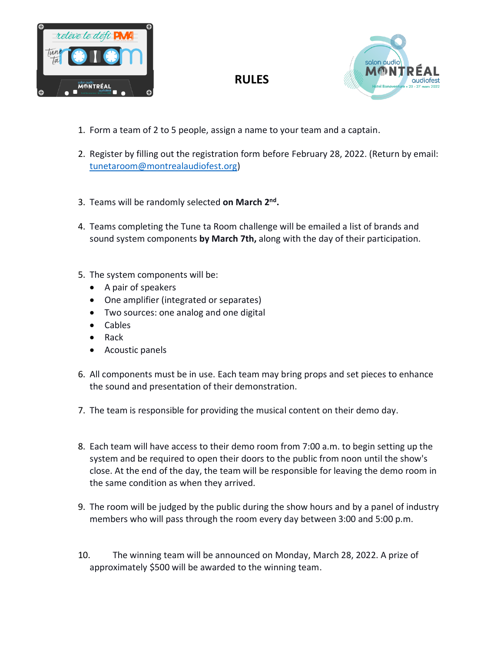



- 1. Form a team of 2 to 5 people, assign a name to your team and a captain.
- 2. Register by filling out the registration form before February 28, 2022. (Return by email: [tunetaroom@montrealaudiofest.org\)](mailto:tunetaroom@montrealaudiofest.org)

**RULES**

- 3. Teams will be randomly selected on March 2<sup>nd</sup>.
- 4. Teams completing the Tune ta Room challenge will be emailed a list of brands and sound system components **by March 7th,** along with the day of their participation.
- 5. The system components will be:
	- A pair of speakers
	- One amplifier (integrated or separates)
	- Two sources: one analog and one digital
	- Cables
	- $\bullet$  Rack
	- Acoustic panels
- 6. All components must be in use. Each team may bring props and set pieces to enhance the sound and presentation of their demonstration.
- 7. The team is responsible for providing the musical content on their demo day.
- 8. Each team will have access to their demo room from 7:00 a.m. to begin setting up the system and be required to open their doors to the public from noon until the show's close. At the end of the day, the team will be responsible for leaving the demo room in the same condition as when they arrived.
- 9. The room will be judged by the public during the show hours and by a panel of industry members who will pass through the room every day between 3:00 and 5:00 p.m.
- 10. The winning team will be announced on Monday, March 28, 2022. A prize of approximately \$500 will be awarded to the winning team.